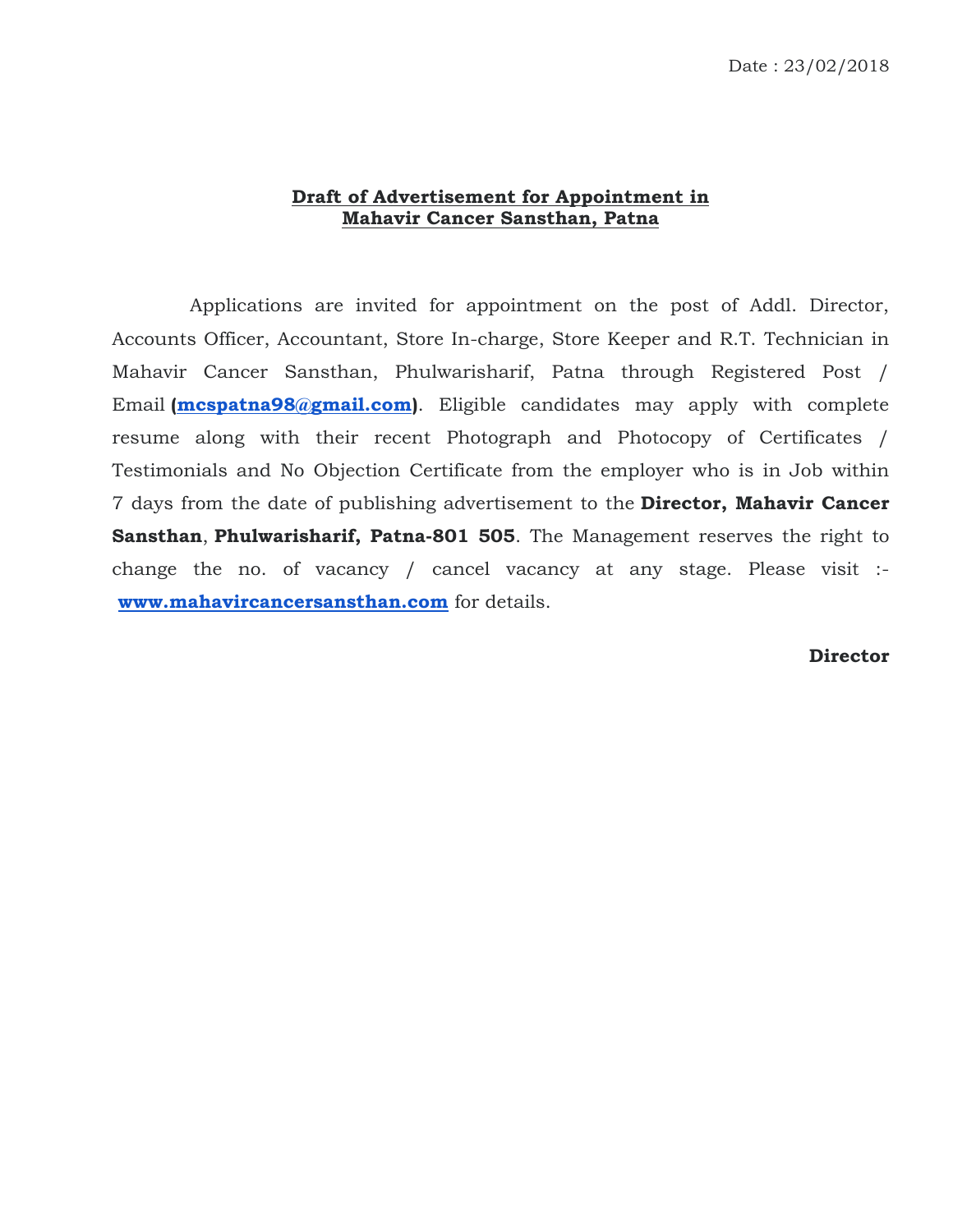## **Draft of Advertisement for Appointment in Mahavir Cancer Sansthan, Patna**

 Applications are invited for appointment on the post of Addl. Director, Accounts Officer, Accountant, Store In-charge, Store Keeper and R.T. Technician in Mahavir Cancer Sansthan, Phulwarisharif, Patna through Registered Post / Email **[\(mcspatna98@gmail.com\)](mailto:mcspatna98@gmail.com)**. Eligible candidates may apply with complete resume along with their recent Photograph and Photocopy of Certificates / Testimonials and No Objection Certificate from the employer who is in Job within 7 days from the date of publishing advertisement to the **Director, Mahavir Cancer Sansthan**, **Phulwarisharif, Patna-801 505**. The Management reserves the right to change the no. of vacancy / cancel vacancy at any stage. Please visit : **[www.mahavircancersansthan.com](http://www.mahavircancersansthan.com/)** for details.

## **Director**